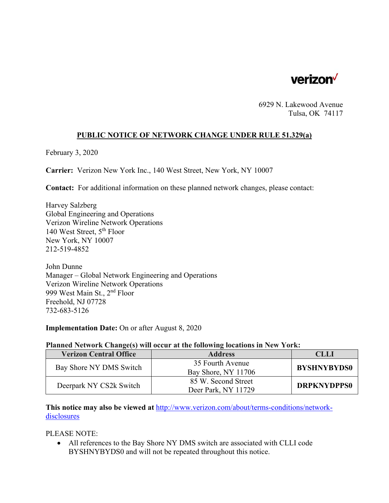

6929 N. Lakewood Avenue Tulsa, OK 74117

## **PUBLIC NOTICE OF NETWORK CHANGE UNDER RULE 51.329(a)**

February 3, 2020

**Carrier:** Verizon New York Inc., 140 West Street, New York, NY 10007

**Contact:** For additional information on these planned network changes, please contact:

Harvey Salzberg Global Engineering and Operations Verizon Wireline Network Operations 140 West Street, 5th Floor New York, NY 10007 212-519-4852

John Dunne Manager – Global Network Engineering and Operations Verizon Wireline Network Operations 999 West Main St., 2nd Floor Freehold, NJ 07728 732-683-5126

**Implementation Date:** On or after August 8, 2020

## **Planned Network Change(s) will occur at the following locations in New York:**

| <b>Verizon Central Office</b> | <b>Address</b>      | CLLI               |
|-------------------------------|---------------------|--------------------|
| Bay Shore NY DMS Switch       | 35 Fourth Avenue    | <b>BYSHNYBYDS0</b> |
|                               | Bay Shore, NY 11706 |                    |
| Deerpark NY CS2k Switch       | 85 W. Second Street | <b>DRPKNYDPPS0</b> |
|                               | Deer Park, NY 11729 |                    |

**This notice may also be viewed at** http://www.verizon.com/about/terms-conditions/networkdisclosures

PLEASE NOTE:

 All references to the Bay Shore NY DMS switch are associated with CLLI code BYSHNYBYDS0 and will not be repeated throughout this notice.